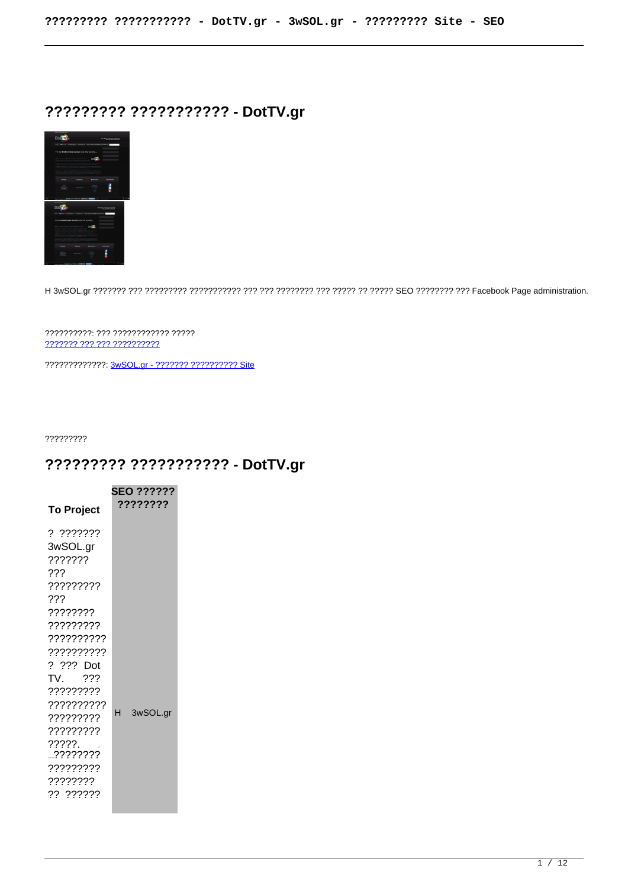## ????????? ??????????? - DotTV.gr



## ?????????? ??? ???????????? ????? ??????? ??? ??? ??????????

????????????? 3wSOL.ar - ??????? ?????????? Site

?????????

## ????????? ??????????? - DotTV.gr

|                                                                                                                                                                                                                                                         | <b>SEO</b> ?????? |
|---------------------------------------------------------------------------------------------------------------------------------------------------------------------------------------------------------------------------------------------------------|-------------------|
| <b>To Project</b>                                                                                                                                                                                                                                       | ????????          |
| ? ???????<br>3wSOL.gr<br>???????<br>777<br>?????????<br>777<br>????????<br>777777777<br>??????????<br>777777777<br>? ??? Dot<br>TV ???<br>?????????<br>777777777<br>777777777<br>777777777<br>?????.<br>,,,,,,,,,<br>?????????<br>????????<br>77 777777 | 3wSOL.gr<br>H.    |
|                                                                                                                                                                                                                                                         |                   |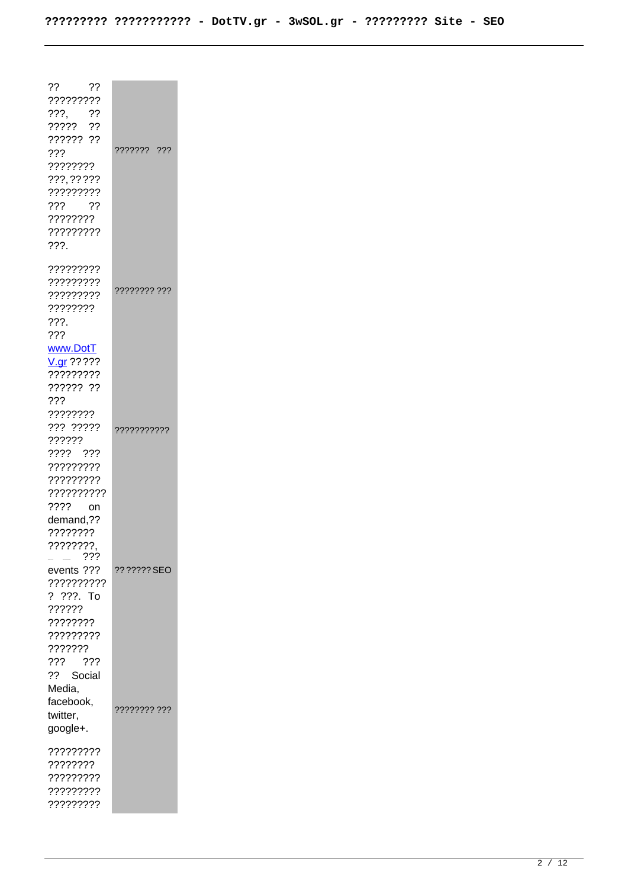| ??<br>??               |                |
|------------------------|----------------|
| ?????????              |                |
| ???,<br>??             |                |
| ?????<br>??            |                |
| ?????? ??              |                |
|                        | ???????<br>??? |
| 77?                    |                |
| ????????               |                |
| ???, ?? ???            |                |
| ?????????              |                |
| ???<br>??              |                |
| ????????               |                |
| ?????????              |                |
| ???.                   |                |
|                        |                |
| ?????????              |                |
| ?????????              |                |
| ?????????              | ???????? ???   |
| ????????               |                |
|                        |                |
| ???.                   |                |
| ???                    |                |
| www.DotT               |                |
| <u>V.gr</u> ?? ???     |                |
| ?????????              |                |
| ?????? ??              |                |
| ???                    |                |
| ????????               |                |
| ??? ?????              |                |
| ??????                 | ???????????    |
| ???? ???               |                |
|                        |                |
| ?????????              |                |
| ?????????              |                |
| ??????????             |                |
| ????<br>on             |                |
| demand,??              |                |
| ????????               |                |
|                        |                |
| ????????,<br>_ _ _ ??? |                |
| events ???             | ?? ????? SEO   |
| ??????????             |                |
| ? ???. To              |                |
| ??????                 |                |
| ????????               |                |
| ?????????              |                |
|                        |                |
| ???????                |                |
| ???<br>???             |                |
| ?? Social              |                |
| Media,                 |                |
| facebook,              | ???????? ???   |
| twitter,               |                |
| google+.               |                |
|                        |                |
| ?????????              |                |
| ????????               |                |
| ?????????              |                |
| ?????????              |                |
| ?????????              |                |
|                        |                |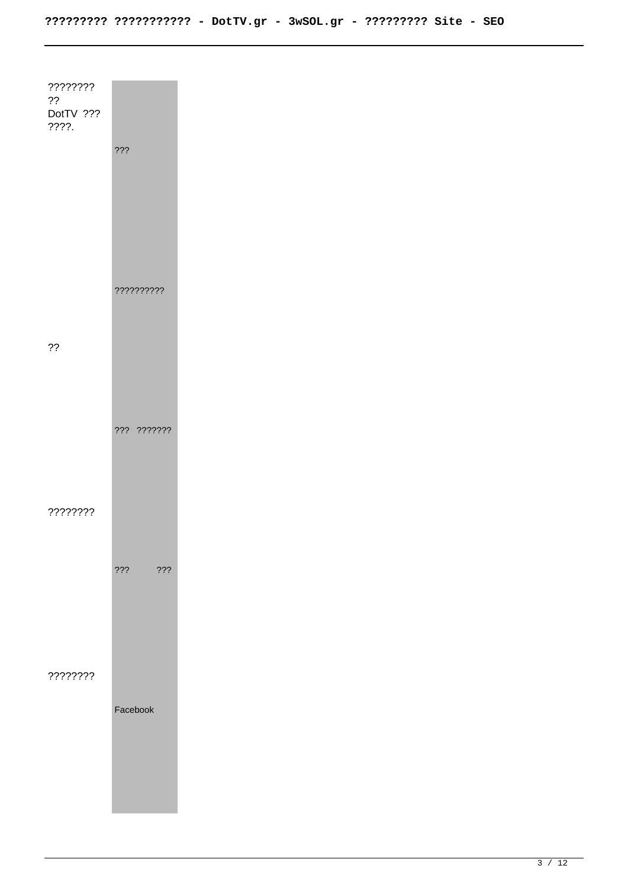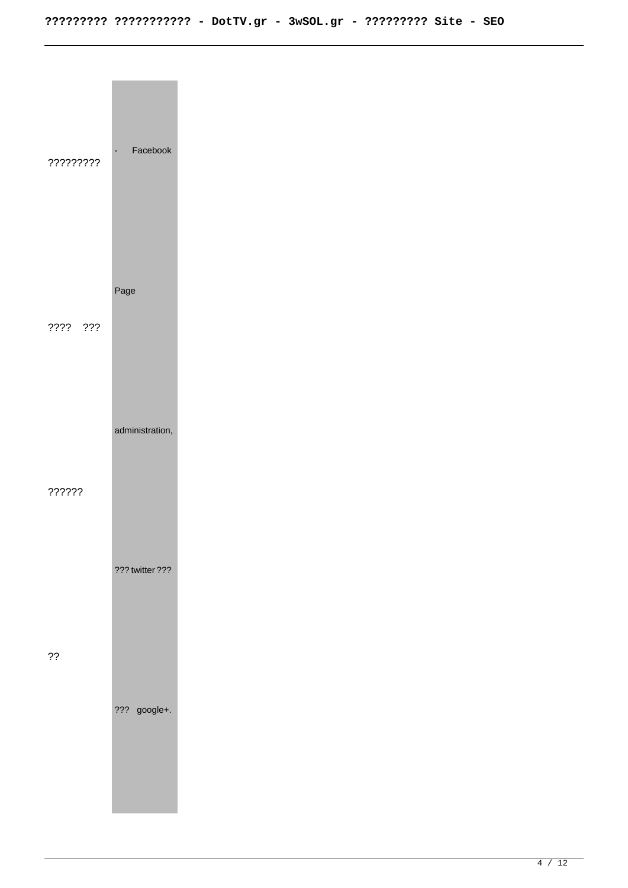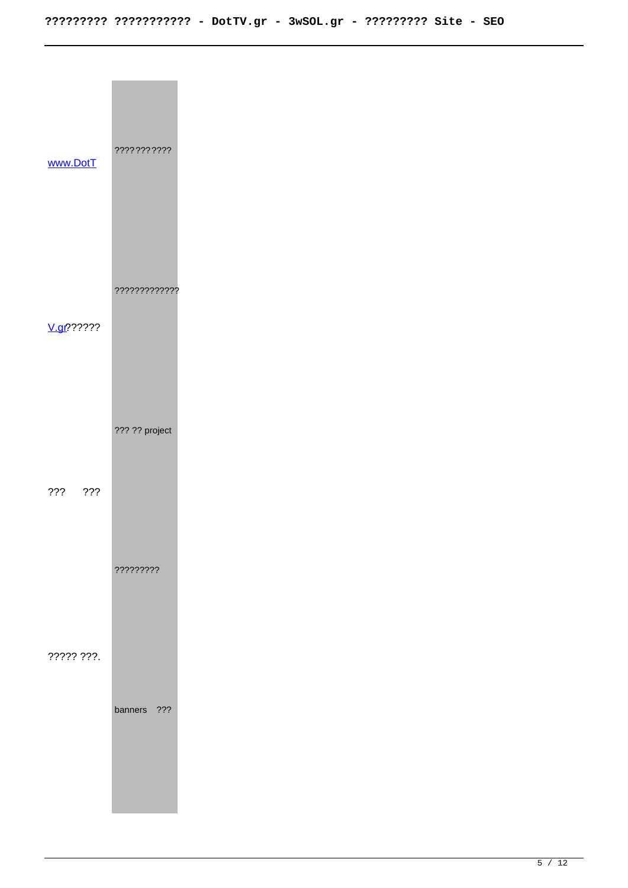| www.DotT         | ???????????    |  |  |  |
|------------------|----------------|--|--|--|
| V.gf??????       | ?????????????  |  |  |  |
| $?$ ??<br>$?$ ?? | ??? ?? project |  |  |  |
|                  | ?????????      |  |  |  |
| ????? ???.       | banners ???    |  |  |  |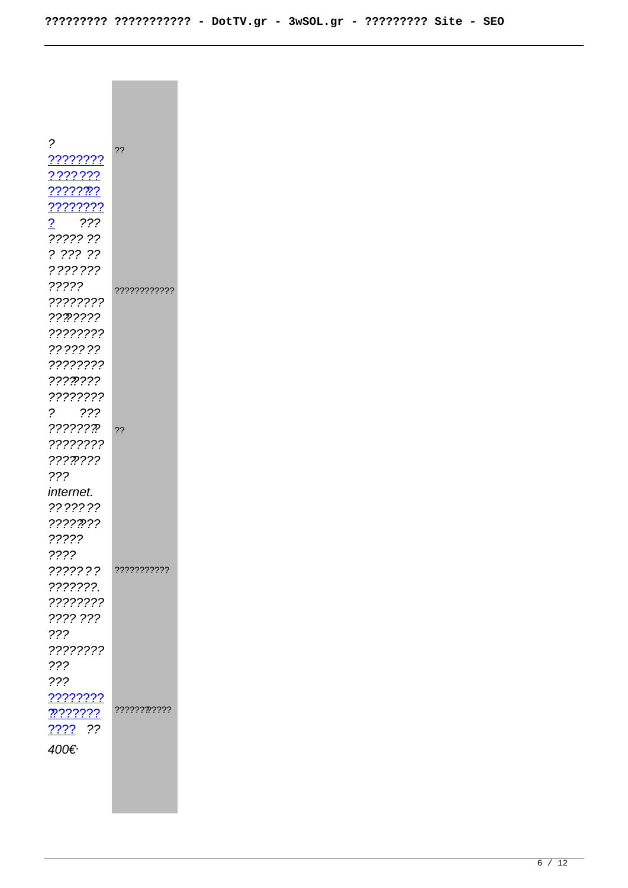| ?<br><u>????????</u><br><u>???????</u><br><u>????????</u><br>????????<br>$\overline{?}$<br>???<br>????? ?? | ??           |  |
|------------------------------------------------------------------------------------------------------------|--------------|--|
| ? ? ? ? ? ?<br>???????<br>?????<br>????????<br>???????<br>????????<br>???????                              | ???????????? |  |
| ????????<br>2222222<br>????????<br>$\mathcal{P}$<br>???<br>????????<br>????????<br>???????<br>???          | ??           |  |
| internet.<br>???????<br>???????<br>?????<br>????<br>???????<br>???????.<br>????????<br>???? ???<br>???     | ???????????  |  |
| ????????<br>222<br>???<br><u>????????</u><br>????????<br>????<br>400€                                      | ???????????  |  |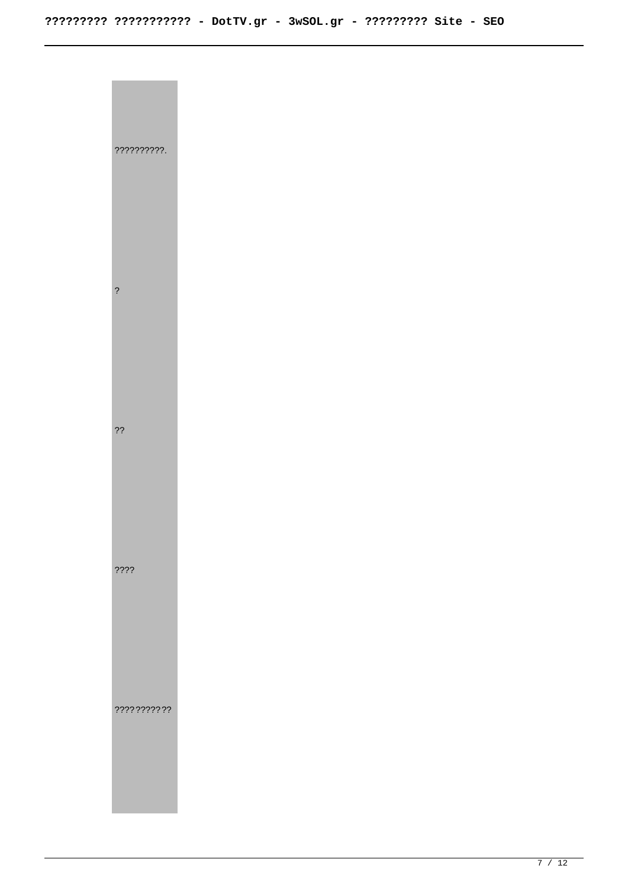??????????.  $\overline{?}$  $\overline{?}$  $????$ ????????????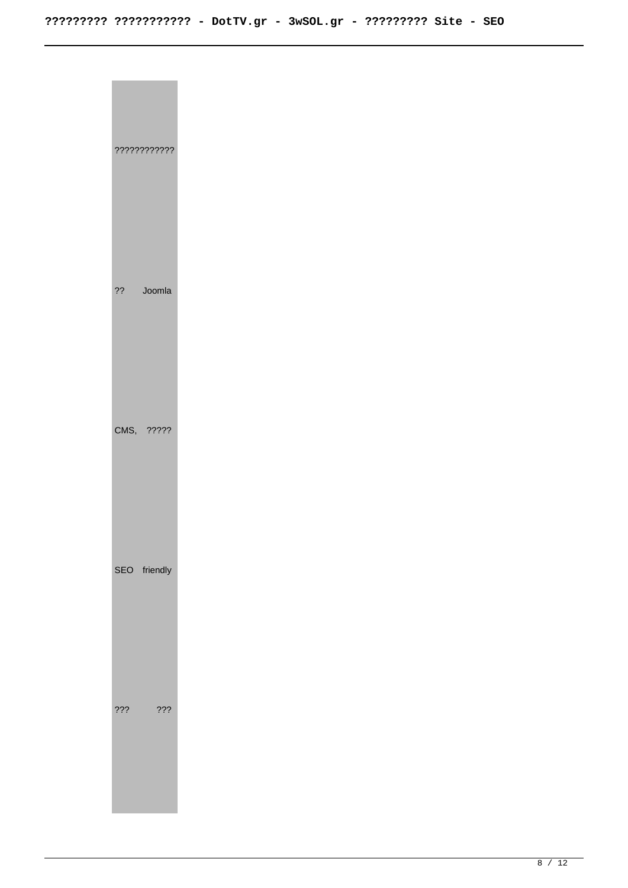| ????????????  |  |  |
|---------------|--|--|
| ??<br>Joomla  |  |  |
| CMS, ?????    |  |  |
| SEO friendly  |  |  |
| $?$ ??<br>??? |  |  |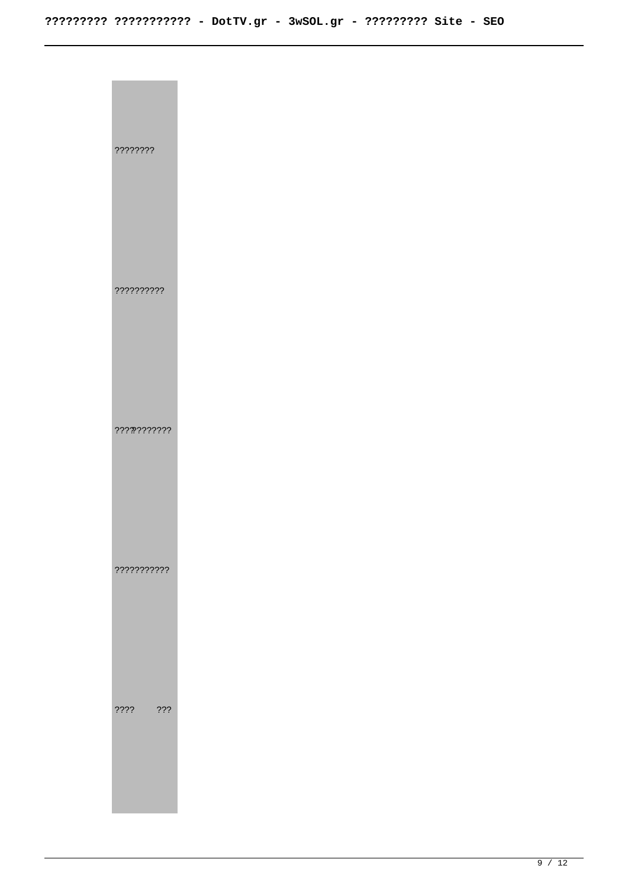| ????????    |  |  |
|-------------|--|--|
| ??????????  |  |  |
| ??????????? |  |  |
| ??????????? |  |  |
| ???<br>???? |  |  |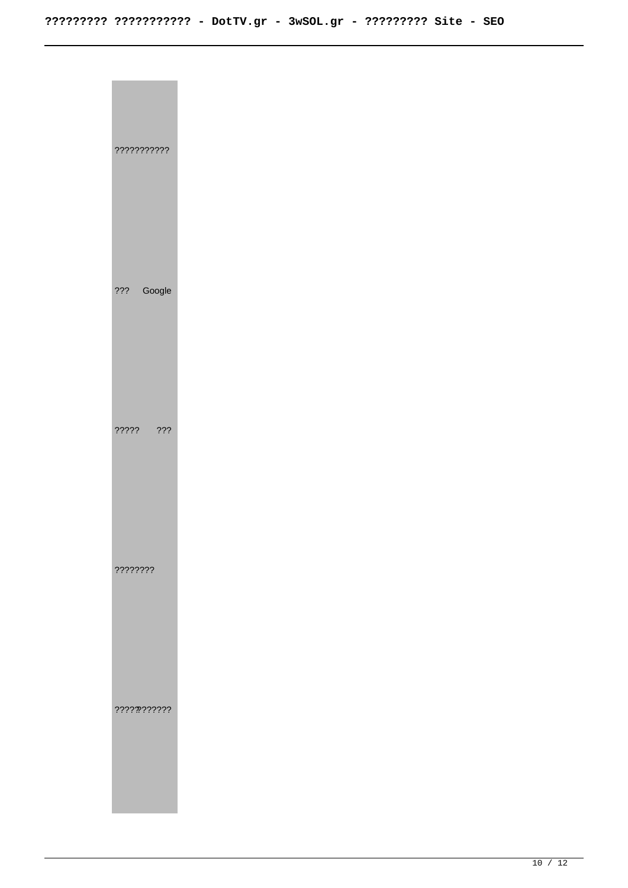| ???????????      |  |  |
|------------------|--|--|
| $?$ ??<br>Google |  |  |
| ?????<br>$?$ ??  |  |  |
| ????????         |  |  |
| ???????????      |  |  |